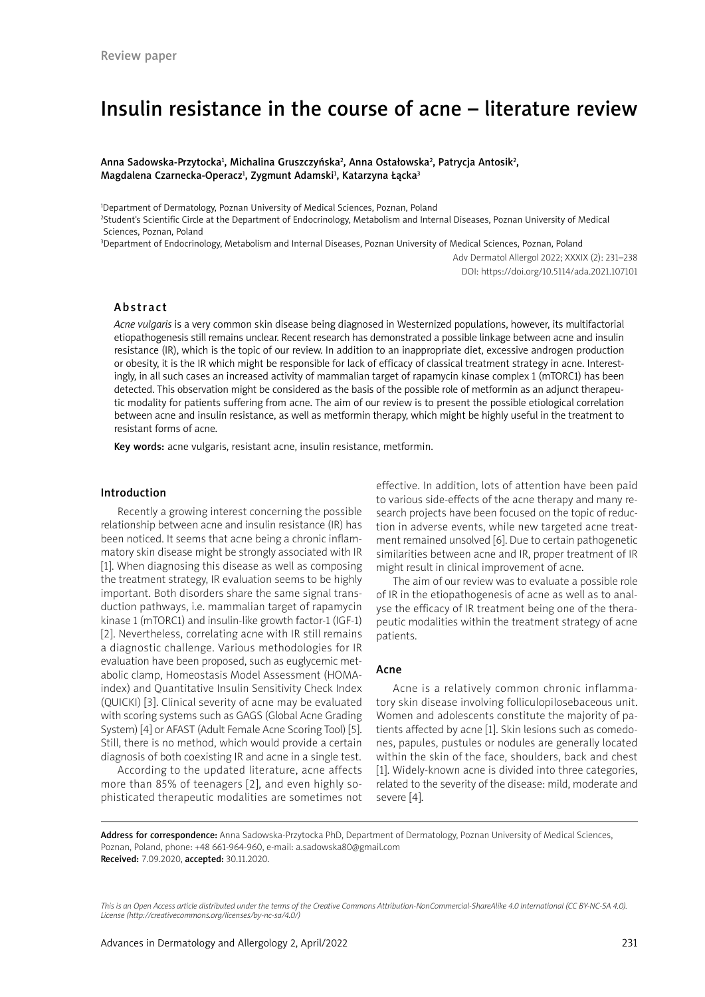# Insulin resistance in the course of acne – literature review

Anna Sadowska-Przytocka<sup>1</sup>, Michalina Gruszczyńska<sup>2</sup>, Anna Ostałowska<sup>2</sup>, Patrycja Antosik<sup>2</sup>, Magdalena Czarnecka-Operacz<sup>1</sup>, Zygmunt Adamski<sup>1</sup>, Katarzyna Łącka<sup>3</sup>

<sup>1</sup>Department of Dermatology, Poznan University of Medical Sciences, Poznan, Poland

2 Student's Scientific Circle at the Department of Endocrinology, Metabolism and Internal Diseases, Poznan University of Medical Sciences, Poznan, Poland

3 Department of Endocrinology, Metabolism and Internal Diseases, Poznan University of Medical Sciences, Poznan, Poland

Adv Dermatol Allergol 2022; XXXIX (2): 231–238 DOI: https://doi.org/10.5114/ada.2021.107101

## Abstract

*Acne vulgaris* is a very common skin disease being diagnosed in Westernized populations, however, its multifactorial etiopathogenesis still remains unclear. Recent research has demonstrated a possible linkage between acne and insulin resistance (IR), which is the topic of our review. In addition to an inappropriate diet, excessive androgen production or obesity, it is the IR which might be responsible for lack of efficacy of classical treatment strategy in acne. Interestingly, in all such cases an increased activity of mammalian target of rapamycin kinase complex 1 (mTORC1) has been detected. This observation might be considered as the basis of the possible role of metformin as an adjunct therapeutic modality for patients suffering from acne. The aim of our review is to present the possible etiological correlation between acne and insulin resistance, as well as metformin therapy, which might be highly useful in the treatment to resistant forms of acne.

Key words: acne vulgaris, resistant acne, insulin resistance, metformin.

#### Introduction

Recently a growing interest concerning the possible relationship between acne and insulin resistance (IR) has been noticed. It seems that acne being a chronic inflammatory skin disease might be strongly associated with IR [1]. When diagnosing this disease as well as composing the treatment strategy, IR evaluation seems to be highly important. Both disorders share the same signal transduction pathways, i.e. mammalian target of rapamycin kinase 1 (mTORC1) and insulin-like growth factor-1 (IGF-1) [2]. Nevertheless, correlating acne with IR still remains a diagnostic challenge. Various methodologies for IR evaluation have been proposed, such as euglycemic metabolic clamp, Homeostasis Model Assessment (HOMAindex) and Quantitative Insulin Sensitivity Check Index (QUICKI) [3]. Clinical severity of acne may be evaluated with scoring systems such as GAGS (Global Acne Grading System) [4] or AFAST (Adult Female Acne Scoring Tool) [5]. Still, there is no method, which would provide a certain diagnosis of both coexisting IR and acne in a single test.

According to the updated literature, acne affects more than 85% of teenagers [2], and even highly sophisticated therapeutic modalities are sometimes not effective. In addition, lots of attention have been paid to various side-effects of the acne therapy and many research projects have been focused on the topic of reduction in adverse events, while new targeted acne treatment remained unsolved [6]. Due to certain pathogenetic similarities between acne and IR, proper treatment of IR might result in clinical improvement of acne.

The aim of our review was to evaluate a possible role of IR in the etiopathogenesis of acne as well as to analyse the efficacy of IR treatment being one of the therapeutic modalities within the treatment strategy of acne patients.

#### Acne

Acne is a relatively common chronic inflammatory skin disease involving folliculopilosebaceous unit. Women and adolescents constitute the majority of patients affected by acne [1]. Skin lesions such as comedones, papules, pustules or nodules are generally located within the skin of the face, shoulders, back and chest [1]. Widely-known acne is divided into three categories, related to the severity of the disease: mild, moderate and severe [4].

Address for correspondence: Anna Sadowska-Przytocka PhD, Department of Dermatology, Poznan University of Medical Sciences, Poznan, Poland, phone: +48 661-964-960, e-mail: a.sadowska80@gmail.com Received: 7.09.2020, accepted: 30.11.2020.

*This is an Open Access article distributed under the terms of the Creative Commons Attribution-NonCommercial-ShareAlike 4.0 International (CC BY-NC-SA 4.0). License (http://creativecommons.org/licenses/by-nc-sa/4.0/)*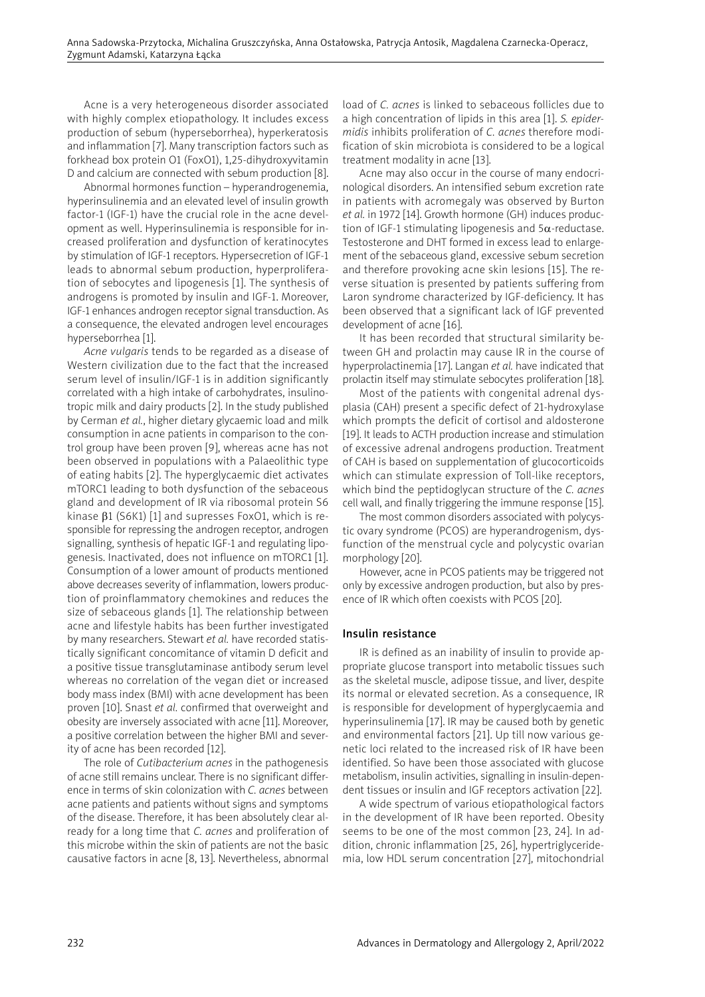Acne is a very heterogeneous disorder associated with highly complex etiopathology. It includes excess production of sebum (hyperseborrhea), hyperkeratosis and inflammation [7]. Many transcription factors such as forkhead box protein O1 (FoxO1), 1,25-dihydroxyvitamin D and calcium are connected with sebum production [8].

Abnormal hormones function – hyperandrogenemia, hyperinsulinemia and an elevated level of insulin growth factor-1 (IGF-1) have the crucial role in the acne development as well. Hyperinsulinemia is responsible for increased proliferation and dysfunction of keratinocytes by stimulation of IGF-1 receptors. Hypersecretion of IGF-1 leads to abnormal sebum production, hyperproliferation of sebocytes and lipogenesis [1]. The synthesis of androgens is promoted by insulin and IGF-1. Moreover, IGF-1 enhances androgen receptor signal transduction. As a consequence, the elevated androgen level encourages hyperseborrhea [1].

*Acne vulgaris* tends to be regarded as a disease of Western civilization due to the fact that the increased serum level of insulin/IGF-1 is in addition significantly correlated with a high intake of carbohydrates, insulinotropic milk and dairy products [2]. In the study published by Cerman *et al.*, higher dietary glycaemic load and milk consumption in acne patients in comparison to the control group have been proven [9], whereas acne has not been observed in populations with a Palaeolithic type of eating habits [2]. The hyperglycaemic diet activates mTORC1 leading to both dysfunction of the sebaceous gland and development of IR via ribosomal protein S6 kinase  $\beta$ 1 (S6K1) [1] and supresses FoxO1, which is responsible for repressing the androgen receptor, androgen signalling, synthesis of hepatic IGF-1 and regulating lipogenesis. Inactivated, does not influence on mTORC1 [1]. Consumption of a lower amount of products mentioned above decreases severity of inflammation, lowers production of proinflammatory chemokines and reduces the size of sebaceous glands [1]. The relationship between acne and lifestyle habits has been further investigated by many researchers. Stewart *et al.* have recorded statistically significant concomitance of vitamin D deficit and a positive tissue transglutaminase antibody serum level whereas no correlation of the vegan diet or increased body mass index (BMI) with acne development has been proven [10]. Snast *et al.* confirmed that overweight and obesity are inversely associated with acne [11]. Moreover, a positive correlation between the higher BMI and severity of acne has been recorded [12].

The role of *Cutibacterium acnes* in the pathogenesis of acne still remains unclear. There is no significant difference in terms of skin colonization with *C. acnes* between acne patients and patients without signs and symptoms of the disease. Therefore, it has been absolutely clear already for a long time that *C. acnes* and proliferation of this microbe within the skin of patients are not the basic causative factors in acne [8, 13]. Nevertheless, abnormal

load of *C. acnes* is linked to sebaceous follicles due to a high concentration of lipids in this area [1]. *S. epidermidis* inhibits proliferation of *C. acnes* therefore modification of skin microbiota is considered to be a logical treatment modality in acne [13].

Acne may also occur in the course of many endocrinological disorders. An intensified sebum excretion rate in patients with acromegaly was observed by Burton *et al.* in 1972 [14]. Growth hormone (GH) induces production of IGF-1 stimulating lipogenesis and  $5\alpha$ -reductase. Testosterone and DHT formed in excess lead to enlargement of the sebaceous gland, excessive sebum secretion and therefore provoking acne skin lesions [15]. The reverse situation is presented by patients suffering from Laron syndrome characterized by IGF-deficiency. It has been observed that a significant lack of IGF prevented development of acne [16].

It has been recorded that structural similarity between GH and prolactin may cause IR in the course of hyperprolactinemia [17]. Langan *et al.* have indicated that prolactin itself may stimulate sebocytes proliferation [18].

Most of the patients with congenital adrenal dysplasia (CAH) present a specific defect of 21-hydroxylase which prompts the deficit of cortisol and aldosterone [19]. It leads to ACTH production increase and stimulation of excessive adrenal androgens production. Treatment of CAH is based on supplementation of glucocorticoids which can stimulate expression of Toll-like receptors, which bind the peptidoglycan structure of the *C. acnes* cell wall, and finally triggering the immune response [15].

The most common disorders associated with polycystic ovary syndrome (PCOS) are hyperandrogenism, dysfunction of the menstrual cycle and polycystic ovarian morphology [20].

However, acne in PCOS patients may be triggered not only by excessive androgen production, but also by presence of IR which often coexists with PCOS [20].

## Insulin resistance

IR is defined as an inability of insulin to provide appropriate glucose transport into metabolic tissues such as the skeletal muscle, adipose tissue, and liver, despite its normal or elevated secretion. As a consequence, IR is responsible for development of hyperglycaemia and hyperinsulinemia [17]. IR may be caused both by genetic and environmental factors [21]. Up till now various genetic loci related to the increased risk of IR have been identified. So have been those associated with glucose metabolism, insulin activities, signalling in insulin-dependent tissues or insulin and IGF receptors activation [22].

A wide spectrum of various etiopathological factors in the development of IR have been reported. Obesity seems to be one of the most common [23, 24]. In addition, chronic inflammation [25, 26], hypertriglyceridemia, low HDL serum concentration [27], mitochondrial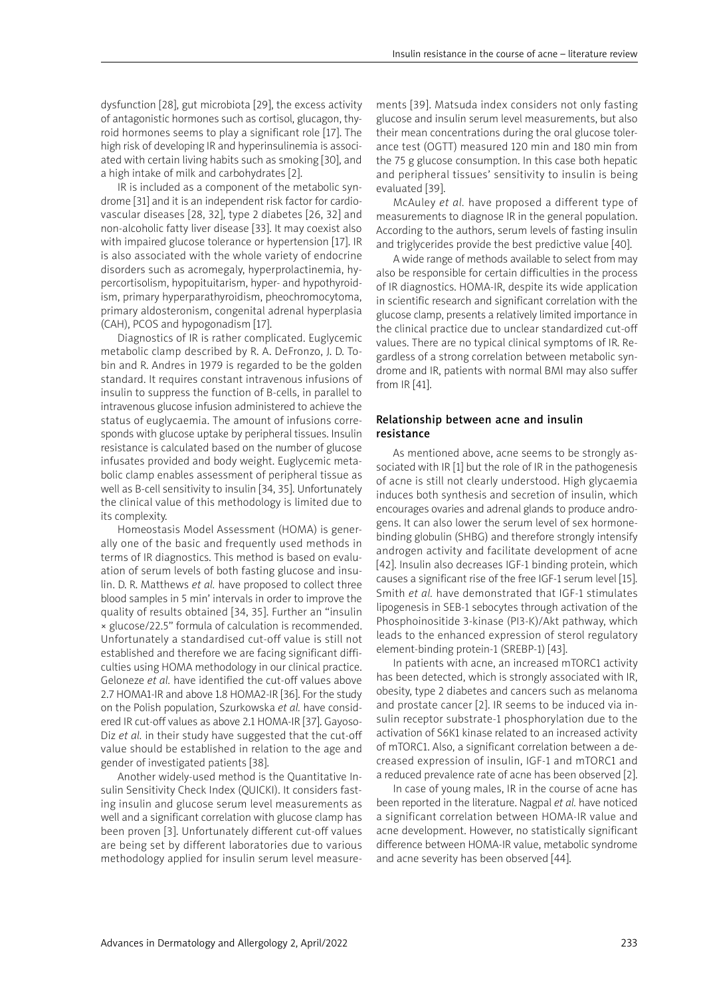dysfunction [28], gut microbiota [29], the excess activity of antagonistic hormones such as cortisol, glucagon, thyroid hormones seems to play a significant role [17]. The high risk of developing IR and hyperinsulinemia is associated with certain living habits such as smoking [30], and a high intake of milk and carbohydrates [2].

IR is included as a component of the metabolic syndrome [31] and it is an independent risk factor for cardiovascular diseases [28, 32], type 2 diabetes [26, 32] and non-alcoholic fatty liver disease [33]. It may coexist also with impaired glucose tolerance or hypertension [17]. IR is also associated with the whole variety of endocrine disorders such as acromegaly, hyperprolactinemia, hypercortisolism, hypopituitarism, hyper- and hypothyroidism, primary hyperparathyroidism, pheochromocytoma, primary aldosteronism, congenital adrenal hyperplasia (CAH), PCOS and hypogonadism [17].

Diagnostics of IR is rather complicated. Euglycemic metabolic clamp described by R. A. DeFronzo, J. D. Tobin and R. Andres in 1979 is regarded to be the golden standard. It requires constant intravenous infusions of insulin to suppress the function of B-cells, in parallel to intravenous glucose infusion administered to achieve the status of euglycaemia. The amount of infusions corresponds with glucose uptake by peripheral tissues. Insulin resistance is calculated based on the number of glucose infusates provided and body weight. Euglycemic metabolic clamp enables assessment of peripheral tissue as well as B-cell sensitivity to insulin [34, 35]. Unfortunately the clinical value of this methodology is limited due to its complexity.

Homeostasis Model Assessment (HOMA) is generally one of the basic and frequently used methods in terms of IR diagnostics. This method is based on evaluation of serum levels of both fasting glucose and insulin. D. R. Matthews *et al.* have proposed to collect three blood samples in 5 min' intervals in order to improve the quality of results obtained [34, 35]. Further an "insulin × glucose/22.5" formula of calculation is recommended. Unfortunately a standardised cut-off value is still not established and therefore we are facing significant difficulties using HOMA methodology in our clinical practice. Geloneze *et al.* have identified the cut-off values above 2.7 HOMA1-IR and above 1.8 HOMA2-IR [36]. For the study on the Polish population, Szurkowska *et al.* have considered IR cut-off values as above 2.1 HOMA-IR [37]. Gayoso-Diz *et al.* in their study have suggested that the cut-off value should be established in relation to the age and gender of investigated patients [38].

Another widely-used method is the Quantitative Insulin Sensitivity Check Index (QUICKI). It considers fasting insulin and glucose serum level measurements as well and a significant correlation with glucose clamp has been proven [3]. Unfortunately different cut-off values are being set by different laboratories due to various methodology applied for insulin serum level measurements [39]. Matsuda index considers not only fasting glucose and insulin serum level measurements, but also their mean concentrations during the oral glucose tolerance test (OGTT) measured 120 min and 180 min from the 75 g glucose consumption. In this case both hepatic and peripheral tissues' sensitivity to insulin is being evaluated [39].

McAuley *et al.* have proposed a different type of measurements to diagnose IR in the general population. According to the authors, serum levels of fasting insulin and triglycerides provide the best predictive value [40].

A wide range of methods available to select from may also be responsible for certain difficulties in the process of IR diagnostics. HOMA-IR, despite its wide application in scientific research and significant correlation with the glucose clamp, presents a relatively limited importance in the clinical practice due to unclear standardized cut-off values. There are no typical clinical symptoms of IR. Regardless of a strong correlation between metabolic syndrome and IR, patients with normal BMI may also suffer from IR [41].

# Relationship between acne and insulin resistance

As mentioned above, acne seems to be strongly associated with IR [1] but the role of IR in the pathogenesis of acne is still not clearly understood. High glycaemia induces both synthesis and secretion of insulin, which encourages ovaries and adrenal glands to produce androgens. It can also lower the serum level of sex hormonebinding globulin (SHBG) and therefore strongly intensify androgen activity and facilitate development of acne [42]. Insulin also decreases IGF-1 binding protein, which causes a significant rise of the free IGF-1 serum level [15]. Smith *et al.* have demonstrated that IGF-1 stimulates lipogenesis in SEB-1 sebocytes through activation of the Phosphoinositide 3-kinase (PI3-K)/Akt pathway, which leads to the enhanced expression of sterol regulatory element-binding protein-1 (SREBP-1) [43].

In patients with acne, an increased mTORC1 activity has been detected, which is strongly associated with IR, obesity, type 2 diabetes and cancers such as melanoma and prostate cancer [2]. IR seems to be induced via insulin receptor substrate-1 phosphorylation due to the activation of S6K1 kinase related to an increased activity of mTORC1. Also, a significant correlation between a decreased expression of insulin, IGF-1 and mTORC1 and a reduced prevalence rate of acne has been observed [2].

In case of young males, IR in the course of acne has been reported in the literature. Nagpal *et al.* have noticed a significant correlation between HOMA-IR value and acne development. However, no statistically significant difference between HOMA-IR value, metabolic syndrome and acne severity has been observed [44].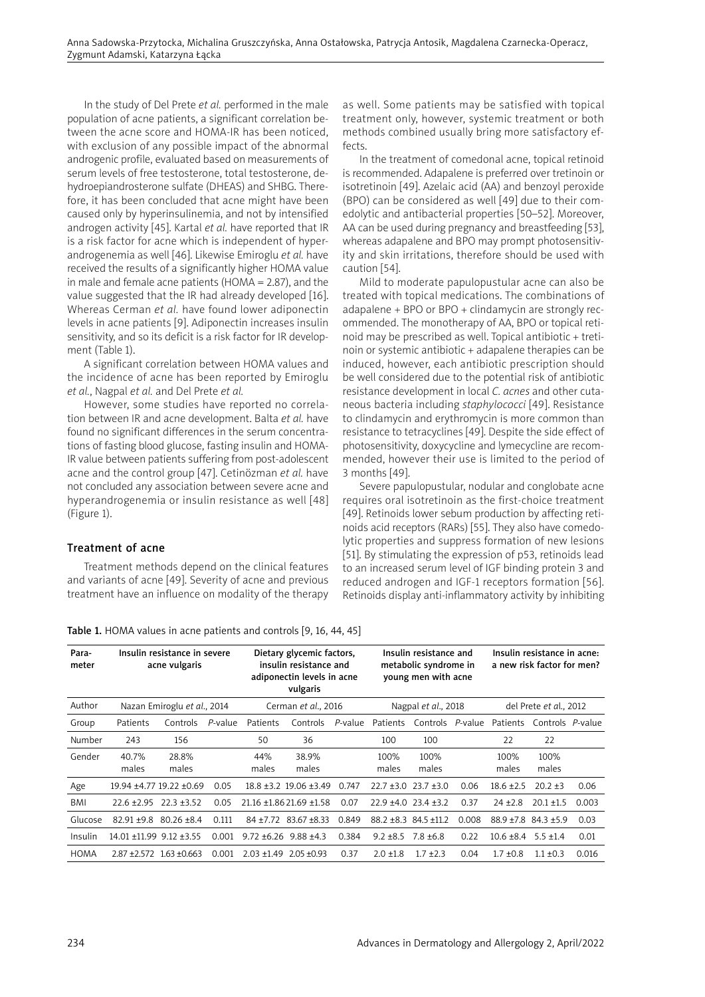In the study of Del Prete *et al.* performed in the male population of acne patients, a significant correlation between the acne score and HOMA-IR has been noticed, with exclusion of any possible impact of the abnormal androgenic profile, evaluated based on measurements of serum levels of free testosterone, total testosterone, dehydroepiandrosterone sulfate (DHEAS) and SHBG. Therefore, it has been concluded that acne might have been caused only by hyperinsulinemia, and not by intensified androgen activity [45]. Kartal *et al.* have reported that IR is a risk factor for acne which is independent of hyperandrogenemia as well [46]. Likewise Emiroglu *et al.* have received the results of a significantly higher HOMA value in male and female acne patients (HOMA = 2.87), and the value suggested that the IR had already developed [16]. Whereas Cerman *et al.* have found lower adiponectin levels in acne patients [9]. Adiponectin increases insulin sensitivity, and so its deficit is a risk factor for IR development (Table 1).

A significant correlation between HOMA values and the incidence of acne has been reported by Emiroglu *et al.*, Nagpal *et al.* and Del Prete *et al.*

However, some studies have reported no correlation between IR and acne development. Balta *et al.* have found no significant differences in the serum concentrations of fasting blood glucose, fasting insulin and HOMA-IR value between patients suffering from post-adolescent acne and the control group [47]. Cetinözman *et al.* have not concluded any association between severe acne and hyperandrogenemia or insulin resistance as well [48] (Figure 1).

# Treatment of acne

Treatment methods depend on the clinical features and variants of acne [49]. Severity of acne and previous treatment have an influence on modality of the therapy as well. Some patients may be satisfied with topical treatment only, however, systemic treatment or both methods combined usually bring more satisfactory effects.

In the treatment of comedonal acne, topical retinoid is recommended. Adapalene is preferred over tretinoin or isotretinoin [49]. Azelaic acid (AA) and benzoyl peroxide (BPO) can be considered as well [49] due to their comedolytic and antibacterial properties [50–52]. Moreover, AA can be used during pregnancy and breastfeeding [53], whereas adapalene and BPO may prompt photosensitivity and skin irritations, therefore should be used with caution [54].

Mild to moderate papulopustular acne can also be treated with topical medications. The combinations of adapalene + BPO or BPO + clindamycin are strongly recommended. The monotherapy of AA, BPO or topical retinoid may be prescribed as well. Topical antibiotic + tretinoin or systemic antibiotic + adapalene therapies can be induced, however, each antibiotic prescription should be well considered due to the potential risk of antibiotic resistance development in local *C. acnes* and other cutaneous bacteria including *staphylococci* [49]. Resistance to clindamycin and erythromycin is more common than resistance to tetracyclines [49]. Despite the side effect of photosensitivity, doxycycline and lymecycline are recommended, however their use is limited to the period of 3 months [49].

Severe papulopustular, nodular and conglobate acne requires oral isotretinoin as the first-choice treatment [49]. Retinoids lower sebum production by affecting retinoids acid receptors (RARs) [55]. They also have comedolytic properties and suppress formation of new lesions [51]. By stimulating the expression of p53, retinoids lead to an increased serum level of IGF binding protein 3 and reduced androgen and IGF-1 receptors formation [56]. Retinoids display anti-inflammatory activity by inhibiting

| Para-<br>meter | Insulin resistance in severe<br>acne vulgaris |                             |            | Dietary glycemic factors,<br>insulin resistance and<br>adiponectin levels in acne<br>vulgaris |                         |         | Insulin resistance and<br>metabolic syndrome in<br>young men with acne |                                |       | Insulin resistance in acne:<br>a new risk factor for men? |                  |       |
|----------------|-----------------------------------------------|-----------------------------|------------|-----------------------------------------------------------------------------------------------|-------------------------|---------|------------------------------------------------------------------------|--------------------------------|-------|-----------------------------------------------------------|------------------|-------|
| Author         | Nazan Emiroglu et al., 2014                   |                             |            | Cerman et al., 2016                                                                           |                         |         | Nagpal et al., 2018                                                    |                                |       | del Prete et al., 2012                                    |                  |       |
| Group          | Patients                                      | Controls                    | $P$ -value | Patients                                                                                      | Controls                | P-value | Patients                                                               | Controls P-value               |       | <b>Patients</b>                                           | Controls P-value |       |
| Number         | 243                                           | 156                         |            | 50                                                                                            | 36                      |         | 100                                                                    | 100                            |       | 22                                                        | 22               |       |
| Gender         | 40.7%<br>males                                | 28.8%<br>males              |            | 44%<br>males                                                                                  | 38.9%<br>males          |         | 100%<br>males                                                          | 100%<br>males                  |       | 100%<br>males                                             | 100%<br>males    |       |
| Age            |                                               | 19.94 ±4.77 19.22 ±0.69     | 0.05       |                                                                                               | 18.8 ±3.2 19.06 ±3.49   | 0.747   | $22.7 + 3.0$                                                           | $23.7 + 3.0$                   | 0.06  | $18.6 \pm 2.5$                                            | $20.2 \pm 3$     | 0.06  |
| <b>BMI</b>     | $22.6 + 2.95$                                 | $22.3 + 3.52$               | 0.05       |                                                                                               | 21.16 ±1.86 21.69 ±1.58 | 0.07    |                                                                        | $22.9 + 4.0$ $23.4 + 3.2$      | 0.37  | $24 + 2.8$                                                | $20.1 \pm 1.5$   | 0.003 |
| Glucose        | $82.91 + 9.8$                                 | $80.26 + 8.4$               | 0.111      | $84 + 7.72$                                                                                   | $83.67 + 8.33$          | 0.849   |                                                                        | $88.2 \pm 8.3$ 84.5 $\pm 11.2$ | 0.008 | $88.9 + 7.8$ $84.3 + 5.9$                                 |                  | 0.03  |
| Insulin        | 14.01 ±11.99 9.12 ±3.55                       |                             | 0.001      | $9.72 + 6.26$                                                                                 | $9.88 \pm 4.3$          | 0.384   | $9.2 \pm 8.5$                                                          | $7.8 \pm 6.8$                  | 0.22  | $10.6 \pm 8.4$                                            | $5.5 \pm 1.4$    | 0.01  |
| <b>HOMA</b>    |                                               | $2.87 + 2.572$ 1.63 + 0.663 | 0.001      | $2.03 + 1.49$                                                                                 | $2.05 + 0.93$           | 0.37    | $2.0 + 1.8$                                                            | $1.7 \pm 2.3$                  | 0.04  | $1.7 + 0.8$                                               | $1.1 \pm 0.3$    | 0.016 |

Table 1. HOMA values in acne patients and controls [9, 16, 44, 45]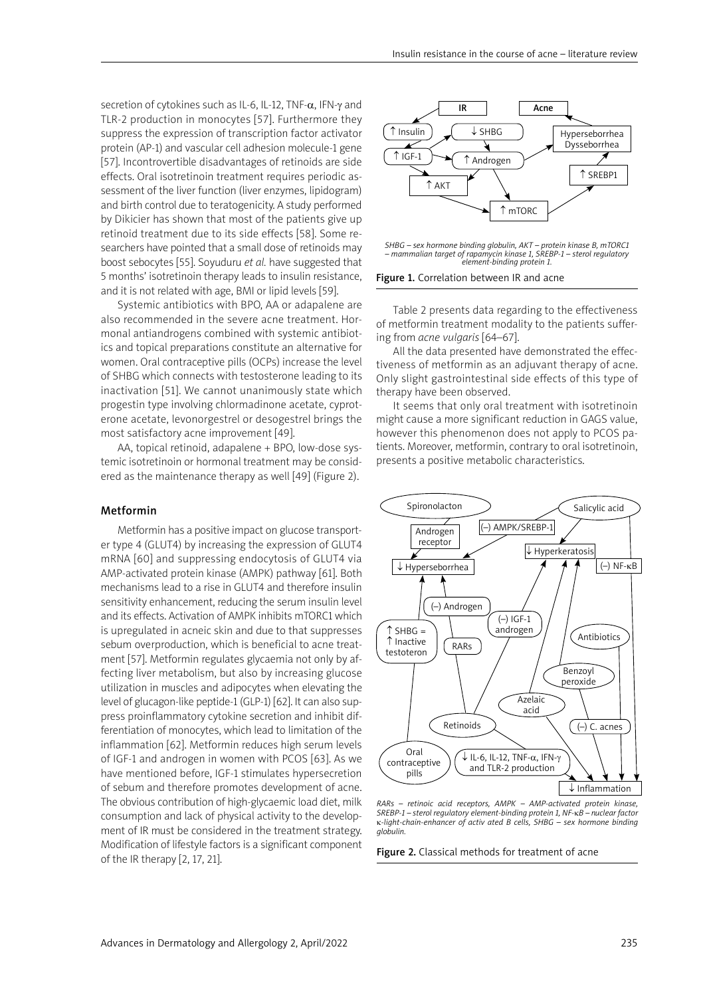secretion of cytokines such as IL-6, IL-12, TNF-α, IFN-γ and TLR-2 production in monocytes [57]. Furthermore they suppress the expression of transcription factor activator protein (AP-1) and vascular cell adhesion molecule-1 gene [57]. Incontrovertible disadvantages of retinoids are side effects. Oral isotretinoin treatment requires periodic assessment of the liver function (liver enzymes, lipidogram) and birth control due to teratogenicity. A study performed by Dikicier has shown that most of the patients give up retinoid treatment due to its side effects [58]. Some researchers have pointed that a small dose of retinoids may boost sebocytes [55]. Soyuduru *et al.* have suggested that 5 months' isotretinoin therapy leads to insulin resistance, and it is not related with age, BMI or lipid levels [59].

Systemic antibiotics with BPO, AA or adapalene are also recommended in the severe acne treatment. Hormonal antiandrogens combined with systemic antibiotics and topical preparations constitute an alternative for women. Oral contraceptive pills (OCPs) increase the level of SHBG which connects with testosterone leading to its inactivation [51]. We cannot unanimously state which progestin type involving chlormadinone acetate, cyproterone acetate, levonorgestrel or desogestrel brings the most satisfactory acne improvement [49].

AA, topical retinoid, adapalene + BPO, low-dose systemic isotretinoin or hormonal treatment may be considered as the maintenance therapy as well [49] (Figure 2).

### Metformin

Metformin has a positive impact on glucose transporter type 4 (GLUT4) by increasing the expression of GLUT4 mRNA [60] and suppressing endocytosis of GLUT4 via AMP-activated protein kinase (AMPK) pathway [61]. Both mechanisms lead to a rise in GLUT4 and therefore insulin sensitivity enhancement, reducing the serum insulin level and its effects. Activation of AMPK inhibits mTORC1 which is upregulated in acneic skin and due to that suppresses sebum overproduction, which is beneficial to acne treatment [57]. Metformin regulates glycaemia not only by affecting liver metabolism, but also by increasing glucose utilization in muscles and adipocytes when elevating the level of glucagon-like peptide-1 (GLP-1) [62]. It can also suppress proinflammatory cytokine secretion and inhibit differentiation of monocytes, which lead to limitation of the inflammation [62]. Metformin reduces high serum levels of IGF-1 and androgen in women with PCOS [63]. As we have mentioned before, IGF-1 stimulates hypersecretion of sebum and therefore promotes development of acne. The obvious contribution of high-glycaemic load diet, milk consumption and lack of physical activity to the development of IR must be considered in the treatment strategy. Modification of lifestyle factors is a significant component of the IR therapy [2, 17, 21].



*SHBG – sex hormone binding globulin, AKT – protein kinase B, mTORC1 – mammalian target of rapamycin kinase 1, SREBP-1 – sterol regulatory element-binding protein 1.*

Figure 1. Correlation between IR and acne

Table 2 presents data regarding to the effectiveness of metformin treatment modality to the patients suffering from *acne vulgaris* [64–67].

All the data presented have demonstrated the effectiveness of metformin as an adjuvant therapy of acne. Only slight gastrointestinal side effects of this type of therapy have been observed.

It seems that only oral treatment with isotretinoin might cause a more significant reduction in GAGS value, however this phenomenon does not apply to PCOS patients. Moreover, metformin, contrary to oral isotretinoin, presents a positive metabolic characteristics.



*RARs – retinoic acid receptors, AMPK – AMP-activated protein kinase, SREBP-1 – sterol regulatory element-binding protein 1, NF-*k*B – nuclear factor*  k*-light-chain-enhancer of activ ated B cells, SHBG – sex hormone binding globulin.*

Figure 2. Classical methods for treatment of acne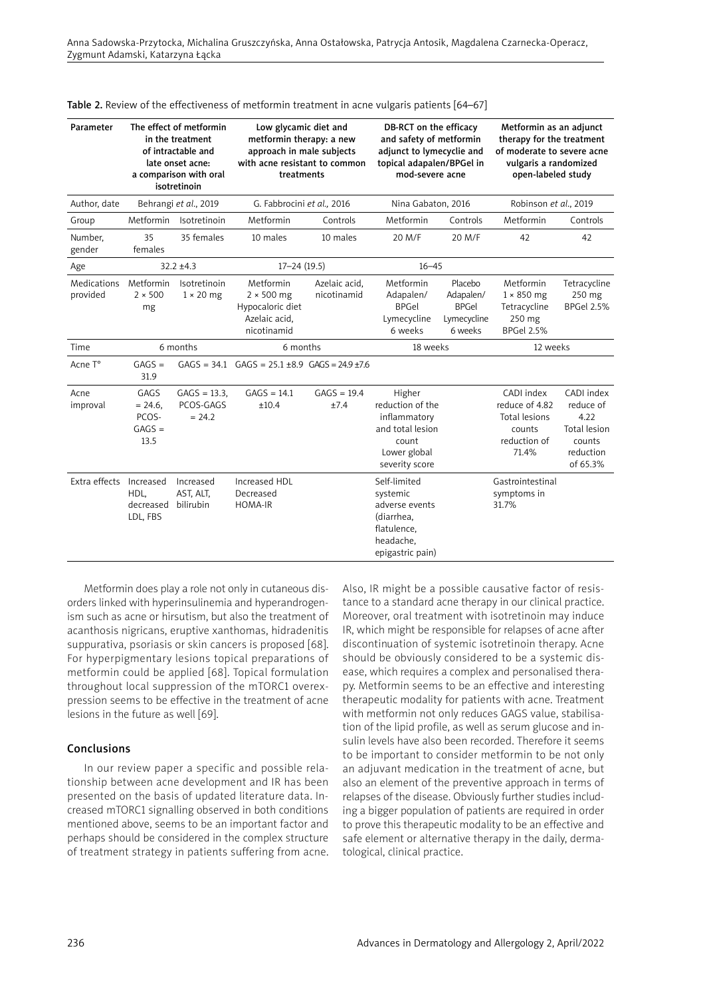| Parameter               | The effect of metformin<br>in the treatment<br>of intractable and<br>late onset acne:<br>a comparison with oral<br>isotretinoin |                                        | Low glycamic diet and<br>metformin therapy: a new<br>approach in male subjects<br>with acne resistant to common<br>treatments |                              | DB-RCT on the efficacy<br>and safety of metformin<br>adjunct to lymecyclie and<br>topical adapalen/BPGel in<br>mod-severe acne |                                                                | Metformin as an adjunct<br>therapy for the treatment<br>of moderate to severe acne<br>vulgaris a randomized<br>open-labeled study |                                                                                    |  |
|-------------------------|---------------------------------------------------------------------------------------------------------------------------------|----------------------------------------|-------------------------------------------------------------------------------------------------------------------------------|------------------------------|--------------------------------------------------------------------------------------------------------------------------------|----------------------------------------------------------------|-----------------------------------------------------------------------------------------------------------------------------------|------------------------------------------------------------------------------------|--|
| Author, date            |                                                                                                                                 | Behrangi et al., 2019                  | G. Fabbrocini et al., 2016                                                                                                    |                              | Nina Gabaton, 2016                                                                                                             |                                                                | Robinson et al., 2019                                                                                                             |                                                                                    |  |
| Group                   | Metformin                                                                                                                       | Isotretinoin                           | Metformin                                                                                                                     | Controls                     | Metformin                                                                                                                      | Controls                                                       | Metformin                                                                                                                         | Controls                                                                           |  |
| Number.<br>gender       | 35<br>females                                                                                                                   | 35 females                             | 10 males                                                                                                                      | 10 males                     | 20 M/F                                                                                                                         | 20 M/F                                                         | 42                                                                                                                                | 42                                                                                 |  |
| Age                     |                                                                                                                                 | $32.2 + 4.3$                           | $17 - 24(19.5)$                                                                                                               |                              | $16 - 45$                                                                                                                      |                                                                |                                                                                                                                   |                                                                                    |  |
| Medications<br>provided | Metformin<br>$2 \times 500$<br>mg                                                                                               | Isotretinoin<br>$1 \times 20$ mg       | Metformin<br>$2 \times 500$ mg<br>Hypocaloric diet<br>Azelaic acid,<br>nicotinamid                                            | Azelaic acid,<br>nicotinamid | Metformin<br>Adapalen/<br><b>BPGel</b><br>Lymecycline<br>6 weeks                                                               | Placebo<br>Adapalen/<br><b>BPGel</b><br>Lymecycline<br>6 weeks | Metformin<br>$1 \times 850$ mg<br>Tetracycline<br>250 mg<br><b>BPGel 2.5%</b>                                                     | Tetracycline<br>250 mg<br><b>BPGel 2.5%</b>                                        |  |
| Time                    | 6 months                                                                                                                        |                                        | 6 months                                                                                                                      |                              | 18 weeks                                                                                                                       |                                                                | 12 weeks                                                                                                                          |                                                                                    |  |
| Acne T°                 | $GAGS =$<br>31.9                                                                                                                |                                        | $GAGS = 34.1$ $GAGS = 25.1 \pm 8.9$ $GAGS = 24.9 \pm 7.6$                                                                     |                              |                                                                                                                                |                                                                |                                                                                                                                   |                                                                                    |  |
| Acne<br>improval        | GAGS<br>$= 24.6$ ,<br>PCOS-<br>$GAGS =$<br>13.5                                                                                 | $GAGS = 13.3$<br>PCOS-GAGS<br>$= 24.2$ | $GAGS = 14.1$<br>±10.4                                                                                                        | $GAGS = 19.4$<br>±7.4        | Higher<br>reduction of the<br>inflammatory<br>and total lesion<br>count<br>Lower global<br>severity score                      |                                                                | CADI index<br>reduce of 4.82<br><b>Total lesions</b><br>counts<br>reduction of<br>71.4%                                           | CADI index<br>reduce of<br>4.22<br>Total lesion<br>counts<br>reduction<br>of 65.3% |  |
| Extra effects           | Increased<br>HDL.<br>decreased<br>LDL, FBS                                                                                      | Increased<br>AST, ALT,<br>bilirubin    | Increased HDL<br>Decreased<br>HOMA-IR                                                                                         |                              | Self-limited<br>systemic<br>adverse events<br>(diarrhea,<br>flatulence,<br>headache,<br>epigastric pain)                       |                                                                | Gastrointestinal<br>symptoms in<br>31.7%                                                                                          |                                                                                    |  |

Table 2. Review of the effectiveness of metformin treatment in acne vulgaris patients [64–67]

Metformin does play a role not only in cutaneous disorders linked with hyperinsulinemia and hyperandrogenism such as acne or hirsutism, but also the treatment of acanthosis nigricans, eruptive xanthomas, hidradenitis suppurativa, psoriasis or skin cancers is proposed [68]. For hyperpigmentary lesions topical preparations of metformin could be applied [68]. Topical formulation throughout local suppression of the mTORC1 overexpression seems to be effective in the treatment of acne lesions in the future as well [69].

## Conclusions

In our review paper a specific and possible relationship between acne development and IR has been presented on the basis of updated literature data. Increased mTORC1 signalling observed in both conditions mentioned above, seems to be an important factor and perhaps should be considered in the complex structure of treatment strategy in patients suffering from acne. Also, IR might be a possible causative factor of resistance to a standard acne therapy in our clinical practice. Moreover, oral treatment with isotretinoin may induce IR, which might be responsible for relapses of acne after discontinuation of systemic isotretinoin therapy. Acne should be obviously considered to be a systemic disease, which requires a complex and personalised therapy. Metformin seems to be an effective and interesting therapeutic modality for patients with acne. Treatment with metformin not only reduces GAGS value, stabilisation of the lipid profile, as well as serum glucose and insulin levels have also been recorded. Therefore it seems to be important to consider metformin to be not only an adjuvant medication in the treatment of acne, but also an element of the preventive approach in terms of relapses of the disease. Obviously further studies including a bigger population of patients are required in order to prove this therapeutic modality to be an effective and safe element or alternative therapy in the daily, dermatological, clinical practice.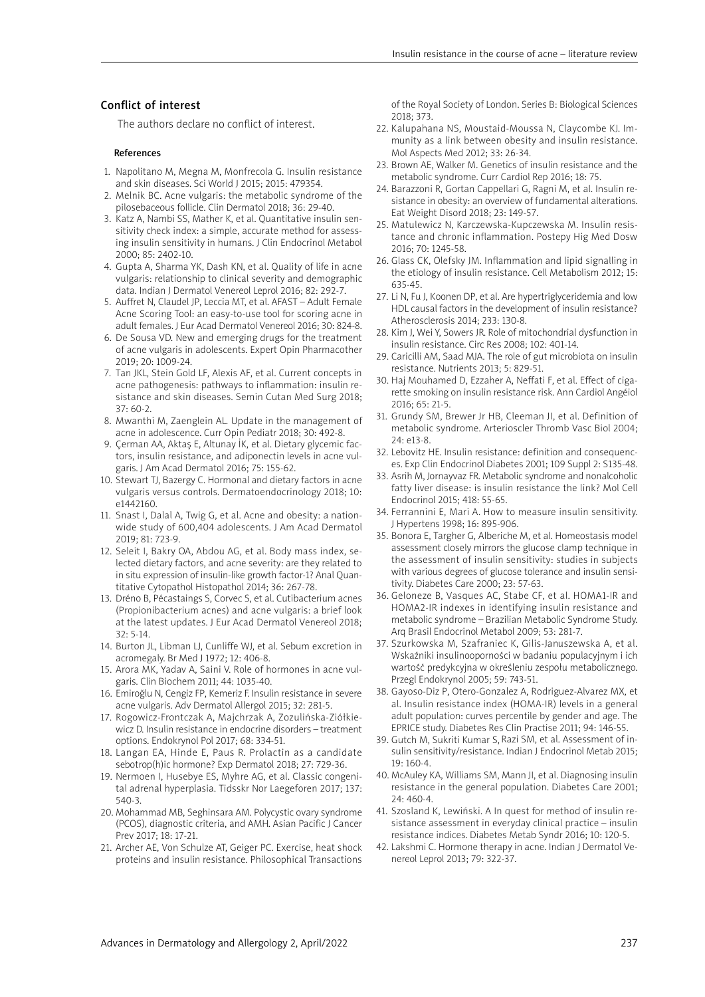# Conflict of interest

The authors declare no conflict of interest.

#### References

- 1. Napolitano M, Megna M, Monfrecola G. Insulin resistance and skin diseases. Sci World J 2015; 2015: 479354.
- 2. Melnik BC. Acne vulgaris: the metabolic syndrome of the pilosebaceous follicle. Clin Dermatol 2018; 36: 29-40.
- 3. Katz A, Nambi SS, Mather K, et al. Quantitative insulin sensitivity check index: a simple, accurate method for assessing insulin sensitivity in humans. J Clin Endocrinol Metabol 2000; 85: 2402-10.
- 4. Gupta A, Sharma YK, Dash KN, et al. Quality of life in acne vulgaris: relationship to clinical severity and demographic data. Indian J Dermatol Venereol Leprol 2016; 82: 292-7.
- 5. Auffret N, Claudel JP, Leccia MT, et al. AFAST Adult Female Acne Scoring Tool: an easy-to-use tool for scoring acne in adult females. J Eur Acad Dermatol Venereol 2016; 30: 824-8.
- 6. De Sousa VD. New and emerging drugs for the treatment of acne vulgaris in adolescents. Expert Opin Pharmacother 2019; 20: 1009-24.
- 7. Tan JKL, Stein Gold LF, Alexis AF, et al. Current concepts in acne pathogenesis: pathways to inflammation: insulin resistance and skin diseases. Semin Cutan Med Surg 2018; 37: 60-2.
- 8. Mwanthi M, Zaenglein AL. Update in the management of acne in adolescence. Curr Opin Pediatr 2018; 30: 492-8.
- 9. Çerman AA, Aktaş E, Altunay İK, et al. Dietary glycemic factors, insulin resistance, and adiponectin levels in acne vulgaris. J Am Acad Dermatol 2016; 75: 155-62.
- 10. Stewart TJ, Bazergy C. Hormonal and dietary factors in acne vulgaris versus controls. Dermatoendocrinology 2018; 10: e1442160.
- 11. Snast I, Dalal A, Twig G, et al. Acne and obesity: a nationwide study of 600,404 adolescents. J Am Acad Dermatol 2019; 81: 723-9.
- 12. Seleit I, Bakry OA, Abdou AG, et al. Body mass index, selected dietary factors, and acne severity: are they related to in situ expression of insulin-like growth factor-1? Anal Quantitative Cytopathol Histopathol 2014; 36: 267-78.
- 13. Dréno B, Pécastaings S, Corvec S, et al. Cutibacterium acnes (Propionibacterium acnes) and acne vulgaris: a brief look at the latest updates. J Eur Acad Dermatol Venereol 2018;  $32.5 - 14$
- 14. Burton JL, Libman LJ, Cunliffe WJ, et al. Sebum excretion in acromegaly. Br Med J 1972; 12: 406-8.
- 15. Arora MK, Yadav A, Saini V. Role of hormones in acne vulgaris. Clin Biochem 2011; 44: 1035-40.
- 16. Emiroğlu N, Cengiz FP, Kemeriz F. Insulin resistance in severe acne vulgaris. Adv Dermatol Allergol 2015; 32: 281-5.
- 17. Rogowicz-Frontczak A, Majchrzak A, Zozulińska-Ziółkiewicz D. Insulin resistance in endocrine disorders – treatment options. Endokrynol Pol 2017; 68: 334-51.
- 18. Langan EA, Hinde E, Paus R. Prolactin as a candidate sebotrop(h)ic hormone? Exp Dermatol 2018; 27: 729-36.
- 19. Nermoen I, Husebye ES, Myhre AG, et al. Classic congenital adrenal hyperplasia. Tidsskr Nor Laegeforen 2017; 137: 540-3.
- 20. Mohammad MB, Seghinsara AM. Polycystic ovary syndrome (PCOS), diagnostic criteria, and AMH. Asian Pacific J Cancer Prev 2017; 18: 17-21.
- 21. Archer AE, Von Schulze AT, Geiger PC. Exercise, heat shock proteins and insulin resistance. Philosophical Transactions

of the Royal Society of London. Series B: Biological Sciences 2018; 373.

- 22. Kalupahana NS, Moustaid-Moussa N, Claycombe KJ. Immunity as a link between obesity and insulin resistance. Mol Aspects Med 2012; 33: 26-34.
- 23. Brown AE, Walker M. Genetics of insulin resistance and the metabolic syndrome. Curr Cardiol Rep 2016; 18: 75.
- 24. Barazzoni R, Gortan Cappellari G, Ragni M, et al. Insulin resistance in obesity: an overview of fundamental alterations. Eat Weight Disord 2018; 23: 149-57.
- 25. Matulewicz N, Karczewska-Kupczewska M. Insulin resistance and chronic inflammation. Postepy Hig Med Dosw 2016; 70: 1245-58.
- 26. Glass CK, Olefsky JM. Inflammation and lipid signalling in the etiology of insulin resistance. Cell Metabolism 2012; 15: 635-45.
- 27. Li N, Fu J, Koonen DP, et al. Are hypertriglyceridemia and low HDL causal factors in the development of insulin resistance? Atherosclerosis 2014; 233: 130-8.
- 28. Kim J, Wei Y, Sowers JR. Role of mitochondrial dysfunction in insulin resistance. Circ Res 2008; 102: 401-14.
- 29. Caricilli AM, Saad MJA. The role of gut microbiota on insulin resistance. Nutrients 2013; 5: 829-51.
- 30. Haj Mouhamed D, Ezzaher A, Neffati F, et al. Effect of cigarette smoking on insulin resistance risk. Ann Cardiol Angéiol 2016; 65: 21-5.
- 31. Grundy SM, Brewer Jr HB, Cleeman JI, et al. Definition of metabolic syndrome. Arterioscler Thromb Vasc Biol 2004; 24: e13-8.
- 32. Lebovitz HE. Insulin resistance: definition and consequences. Exp Clin Endocrinol Diabetes 2001; 109 Suppl 2: S135-48.
- 33. Asrih M, Jornayvaz FR. Metabolic syndrome and nonalcoholic fatty liver disease: is insulin resistance the link? Mol Cell Endocrinol 2015; 418: 55-65.
- 34. Ferrannini E, Mari A. How to measure insulin sensitivity. J Hypertens 1998; 16: 895-906.
- 35. Bonora E, Targher G, Alberiche M, et al. Homeostasis model assessment closely mirrors the glucose clamp technique in the assessment of insulin sensitivity: studies in subjects with various degrees of glucose tolerance and insulin sensitivity. Diabetes Care 2000; 23: 57-63.
- 36. Geloneze B, Vasques AC, Stabe CF, et al. HOMA1-IR and HOMA2-IR indexes in identifying insulin resistance and metabolic syndrome – Brazilian Metabolic Syndrome Study. Arq Brasil Endocrinol Metabol 2009; 53: 281-7.
- 37. Szurkowska M, Szafraniec K, Gilis-Januszewska A, et al. Wskaźniki insulinooporności w badaniu populacyjnym i ich wartość predykcyjna w określeniu zespołu metabolicznego. Przegl Endokrynol 2005; 59: 743-51.
- 38. Gayoso-Diz P, Otero-Gonzalez A, Rodriguez-Alvarez MX, et al. Insulin resistance index (HOMA-IR) levels in a general adult population: curves percentile by gender and age. The EPRICE study. Diabetes Res Clin Practise 2011; 94: 146-55.
- 39. Gutch M, Sukriti Kumar S, Razi SM, et al. Assessment of insulin sensitivity/resistance. Indian J Endocrinol Metab 2015; 19: 160-4.
- 40. McAuley KA, Williams SM, Mann JI, et al. Diagnosing insulin resistance in the general population. Diabetes Care 2001;  $24.460 - 4$
- 41. Szosland K, Lewiński. A In quest for method of insulin resistance assessment in everyday clinical practice – insulin resistance indices. Diabetes Metab Syndr 2016; 10: 120-5.
- 42. Lakshmi C. Hormone therapy in acne. Indian J Dermatol Venereol Leprol 2013; 79: 322-37.